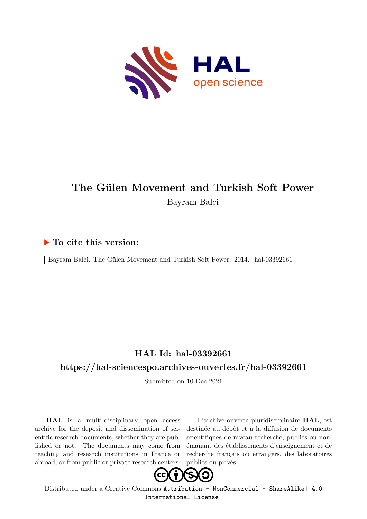

# **The Gülen Movement and Turkish Soft Power** Bayram Balci

#### **To cite this version:**

Bayram Balci. The Gülen Movement and Turkish Soft Power. 2014. hal-03392661

### **HAL Id: hal-03392661**

#### **<https://hal-sciencespo.archives-ouvertes.fr/hal-03392661>**

Submitted on 10 Dec 2021

**HAL** is a multi-disciplinary open access archive for the deposit and dissemination of scientific research documents, whether they are published or not. The documents may come from teaching and research institutions in France or abroad, or from public or private research centers.

L'archive ouverte pluridisciplinaire **HAL**, est destinée au dépôt et à la diffusion de documents scientifiques de niveau recherche, publiés ou non, émanant des établissements d'enseignement et de recherche français ou étrangers, des laboratoires publics ou privés.



Distributed under a Creative Commons [Attribution - NonCommercial - ShareAlike| 4.0](http://creativecommons.org/licenses/by-nc-sa/4.0/) [International License](http://creativecommons.org/licenses/by-nc-sa/4.0/)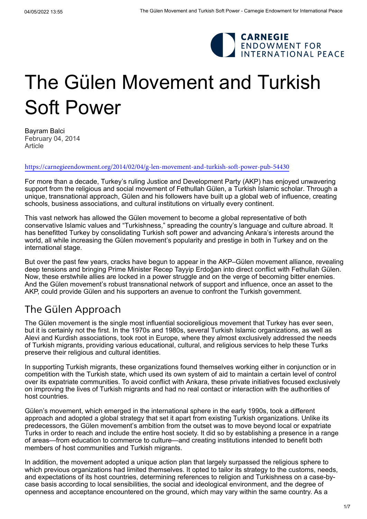

# The Gülen Movement and Turkish Soft Power

[Bayram Balci](https://carnegieendowment.org/experts/663) February 04, 2014 Article

<https://carnegieendowment.org/2014/02/04/g-len-movement-and-turkish-soft-power-pub-54430>

For more than a decade, Turkey's ruling Justice and Development Party (AKP) has enjoyed unwavering support from the religious and social movement of Fethullah Gülen, a Turkish Islamic scholar. Through a unique, transnational approach, Gülen and his followers have built up a global web of influence, creating schools, business associations, and cultural institutions on virtually every continent.

This vast network has allowed the Gülen movement to become a global representative of both conservative Islamic values and "Turkishness," spreading the country's language and culture abroad. It has benefitted Turkey by consolidating Turkish soft power and advancing Ankara's interests around the world, all while increasing the Gülen movement's popularity and prestige in both in Turkey and on the international stage.

But over the past few years, cracks have begun to appear in the AKP–Gülen movement alliance, revealing deep tensions and bringing Prime Minister Recep Tayyip Erdoğan into direct conflict with Fethullah Gülen. Now, these erstwhile allies are locked in a power struggle and on the verge of becoming [bitter enemies](http://carnegieendowment.org/2013/10/24/turkey-s-g%C3%BClen-movement-between-social-activism-and-politics/gr8q). And the Gülen movement's robust transnational network of support and influence, once an asset to the AKP, could provide Gülen and his supporters an avenue to confront the Turkish government.

# The Gülen Approach

The Gülen movement is the single most influential socioreligious movement that Turkey has ever seen, but it is certainly not the first. In the 1970s and 1980s, several Turkish Islamic organizations, as well as Alevi and Kurdish associations, took root in Europe, where they almost exclusively addressed the needs of Turkish migrants, providing various educational, cultural, and religious services to help these Turks preserve their religious and cultural identities.

In supporting Turkish migrants, these organizations found themselves working either in conjunction or in competition with the Turkish state, which used its own system of aid to maintain a certain level of control over its expatriate communities. To avoid conflict with Ankara, these private initiatives focused exclusively on improving the lives of Turkish migrants and had no real contact or interaction with the authorities of host countries.

Gülen's movement, which emerged in the international sphere in the early 1990s, took a different approach and adopted a global strategy that set it apart from existing Turkish organizations. Unlike its predecessors, the Gülen movement's ambition from the outset was to move beyond local or expatriate Turks in order to reach and include the entire host society. It did so by establishing a presence in a range of areas—from education to commerce to culture—and creating institutions intended to benefit both members of host communities and Turkish migrants.

In addition, the movement adopted a unique action plan that largely surpassed the religious sphere to which previous organizations had limited themselves. It opted to tailor its strategy to the customs, needs, and expectations of its host countries, determining references to religion and Turkishness on a case-bycase basis according to local sensibilities, the social and ideological environment, and the degree of openness and acceptance encountered on the ground, which may vary within the same country. As a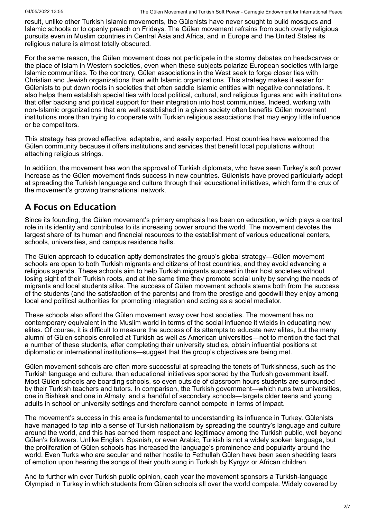result, unlike other Turkish Islamic movements, the Gülenists have never sought to build mosques and Islamic schools or to openly preach on Fridays. The Gülen movement refrains from such overtly religious pursuits even in Muslim countries in Central Asia and Africa, and in Europe and the United States its religious nature is almost totally obscured.

For the same reason, the Gülen movement does not participate in the stormy debates on headscarves or the place of Islam in Western societies, even when these subjects polarize European societies with large Islamic communities. To the contrary, Gülen associations in the West seek to forge closer ties with Christian and Jewish organizations than with Islamic organizations. This strategy makes it easier for Gülenists to put down roots in societies that often saddle Islamic entities with negative connotations. It also helps them establish special ties with local political, cultural, and religious figures and with institutions that offer backing and political support for their integration into host communities. Indeed, working with non-Islamic organizations that are well established in a given society often benefits Gülen movement institutions more than trying to cooperate with Turkish religious associations that may enjoy little influence or be competitors.

This strategy has proved effective, adaptable, and easily exported. Host countries have welcomed the Gülen community because it offers institutions and services that benefit local populations without attaching religious strings.

In addition, the movement has won the approval of Turkish diplomats, who have seen Turkey's soft power increase as the Gülen movement finds success in new countries. Gülenists have proved particularly adept at spreading the Turkish language and culture through their educational initiatives, which form the crux of the movement's growing transnational network.

#### **A Focus on Education**

Since its founding, the Gülen movement's primary emphasis has been on education, which plays a central role in its identity and contributes to its increasing power around the world. The movement devotes the largest share of its human and financial resources to the establishment of various educational centers, schools, universities, and campus residence halls.

The Gülen approach to education aptly demonstrates the group's global strategy—Gülen movement schools are open to both Turkish migrants and citizens of host countries, and they avoid advancing a religious agenda. These schools aim to help Turkish migrants succeed in their host societies without losing sight of their Turkish roots, and at the same time they promote social unity by serving the needs of migrants and local students alike. The success of Gülen movement schools stems both from the success of the students (and the satisfaction of the parents) and from the prestige and goodwill they enjoy among local and political authorities for promoting integration and acting as a social mediator.

These schools also afford the Gülen movement sway over host societies. The movement has no contemporary equivalent in the Muslim world in terms of the social influence it wields in educating new elites. Of course, it is difficult to measure the success of its attempts to educate new elites, but the many alumni of Gülen schools enrolled at Turkish as well as American universities—not to mention the fact that a number of these students, after completing their university studies, obtain influential positions at diplomatic or international institutions—suggest that the group's objectives are being met.

Gülen movement schools are often more successful at spreading the tenets of Turkishness, such as the Turkish language and culture, than educational initiatives sponsored by the Turkish government itself. Most Gülen schools are boarding schools, so even outside of classroom hours students are surrounded by their Turkish teachers and tutors. In comparison, the Turkish government—which runs two universities, one in [Bishkek](http://manas.edu.kg/) and one in [Almaty,](http://www.sdu.edu.kz/) and a handful of secondary schools—targets older teens and young adults in school or university settings and therefore cannot compete in terms of impact.

The movement's success in this area is fundamental to understanding its influence in Turkey. Gülenists have managed to tap into a sense of Turkish nationalism by spreading the country's language and culture around the world, and this has earned them respect and legitimacy among the Turkish public, well beyond Gülen's followers. Unlike English, Spanish, or even Arabic, Turkish is not a widely spoken language, but the proliferation of Gülen schools has increased the language's prominence and popularity around the world. Even Turks who are secular and rather hostile to Fethullah Gülen have been seen shedding tears of emotion upon hearing the songs of their youth sung in Turkish by Kyrgyz or African children.

[And to further win over Turkish public opinion, each year the movement sponsors a Turkish-language](http://www.todayszaman.com/newsDetail_getNewsById.action;jsessionid=8743E26B3A4C36D8F0B79AE1D23E2288?newsId=318550) Olympiad in Turkey in which students from Gülen schools all over the world compete. Widely covered by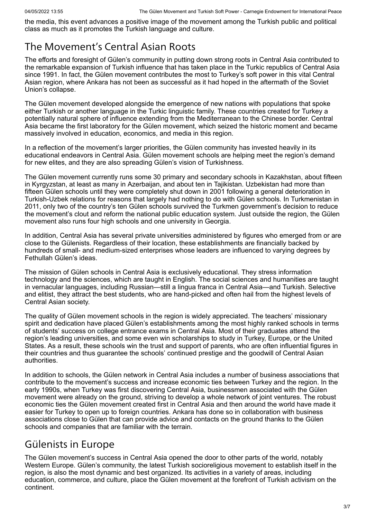the media, this event advances a positive image of the movement among the Turkish public and political class as much as it promotes the Turkish language and culture.

# The Movement's Central Asian Roots

The efforts and foresight of Gülen's community in putting down strong roots in Central Asia contributed to the remarkable expansion of Turkish influence that has taken place in the Turkic republics of Central Asia since 1991. In fact, the Gülen movement contributes the most to [Turkey's soft power](http://wikileaks.org/gifiles/attach/9/9724_Balci%20central%20Asia%20schools.pdf) in this vital Central Asian region, where Ankara has not been as successful as it had hoped in the aftermath of the Soviet Union's collapse.

The Gülen movement developed alongside the emergence of new nations with populations that spoke either Turkish or another language in the Turkic linguistic family. These countries created for Turkey a potentially natural sphere of influence extending from the Mediterranean to the Chinese border. Central Asia became the first laboratory for the Gülen movement, which seized the historic moment and became massively involved in education, economics, and media in this region.

In a reflection of the movement's larger priorities, the Gülen community has invested heavily in its educational endeavors in Central Asia. Gülen movement schools are helping meet the region's demand for new elites, and they are also spreading Gülen's vision of Turkishness.

The [Gülen movement](http://www.currenttrends.org/printVersion/print_pub.asp?pubID=176) currently runs some 30 primary and secondary schools in Kazakhstan, about fifteen in Kyrgyzstan, at least as many in Azerbaijan, and about ten in Tajikistan. Uzbekistan had more than fifteen Gülen schools until they were completely shut down in 2001 following a general deterioration in Turkish-Uzbek relations for reasons that largely had nothing to do with Gülen schools. In Turkmenistan in 2011, only two of the country's ten Gülen schools survived the Turkmen government's decision to reduce the movement's clout and reform the national public education system. Just outside the region, the Gülen movement also runs four high schools and one [university in Georgia.](http://www.ibsu.edu.ge/)

In addition, Central Asia has several [private universities](http://turkishinvitations.weebly.com/every-continent-but-antarctica.html) administered by figures who emerged from or are close to the Gülenists. Regardless of their location, these establishments are financially backed by hundreds of small- and medium-sized enterprises whose leaders are influenced to varying degrees by Fethullah Gülen's ideas.

The mission of Gülen schools in Central Asia is exclusively educational. They stress information technology and the sciences, which are taught in English. The social sciences and humanities are taught in vernacular languages, including Russian—still a lingua franca in Central Asia—and Turkish. Selective and elitist, they attract the best students, who are hand-picked and often hail from the highest levels of Central Asian society.

The quality of Gülen movement schools in the region is widely appreciated. The teachers' missionary spirit and dedication have placed Gülen's establishments among the most highly ranked schools in terms of students' success on college entrance exams in Central Asia. Most of their graduates attend the region's leading universities, and some even win scholarships to study in Turkey, Europe, or the United States. As a result, these schools win the trust and support of parents, who are often influential figures in their countries and thus guarantee the schools' continued prestige and the goodwill of Central Asian authorities.

In addition to schools, the Gülen network in Central Asia includes a number of business associations that contribute to the movement's success and increase economic ties between Turkey and the region. In the early 1990s, when Turkey was first discovering Central Asia, businessmen associated with the Gülen movement were already on the ground, striving to develop a whole network of joint ventures. The robust economic ties the Gülen movement created first in Central Asia and then around the world have made it easier for Turkey to open up to foreign countries. Ankara has done so in collaboration with business associations close to Gülen that can provide advice and contacts on the ground thanks to the Gülen schools and companies that are familiar with the terrain.

# Gülenists in Europe

The Gülen movement's success in Central Asia opened the door to other parts of the world, notably Western Europe. Gülen's community, the latest Turkish socioreligious movement to establish itself in the region, is also the most dynamic and best organized. Its activities in a variety of areas, including education, commerce, and culture, place the Gülen movement at the forefront of Turkish activism on the continent.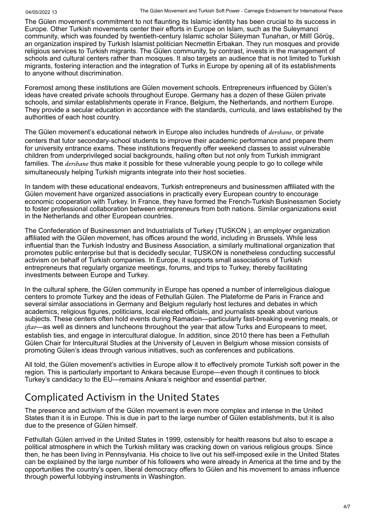The Gülen movement's commitment to not flaunting its Islamic identity has been crucial to its success in Europe. Other Turkish movements center their efforts in Europe on Islam, such as the Suleymanci community, which was founded by twentieth-century Islamic scholar Süleyman Tunahan, or Millî Görüş, an organization inspired by Turkish Islamist politician Necmettin Erbakan. They run mosques and provide religious services to Turkish migrants. The Gülen community, by contrast, invests in the management of schools and cultural centers rather than mosques. It also targets an audience that is not limited to Turkish migrants, fostering interaction and the integration of Turks in Europe by opening all of its establishments to anyone without discrimination.

Foremost among these institutions are Gülen movement schools. Entrepreneurs influenced by Gülen's ideas have created private schools throughout Europe. Germany has a dozen of these Gülen private schools, and similar establishments operate in France, Belgium, the Netherlands, and northern Europe. They provide a secular education in accordance with the standards, curricula, and laws established by the authorities of each host country.

The Gülen movement's educational network in Europe also includes hundreds of *dershane*, or private centers that tutor secondary-school students to improve their academic performance and prepare them for university entrance exams. These institutions frequently offer weekend classes to assist vulnerable children from underprivileged social backgrounds, hailing often but not only from Turkish immigrant families. The *dershane* thus make it possible for these vulnerable young people to go to college while simultaneously helping Turkish migrants integrate into their host societies.

In tandem with these educational endeavors, Turkish entrepreneurs and businessmen affiliated with the Gülen movement have organized associations in practically every European country to encourage economic cooperation with Turkey. In France, they have formed the [French-Turkish Businessmen Society](http://www.fatiad.com/?lang=en) to foster professional collaboration between entrepreneurs from both nations. Similar organizations exist in the [Netherlands](http://www.hogiaf.nl/) and other European countries.

The [Confederation of Businessmen and Industrialists of Turkey](http://www.tuskoneu.org/) (TUSKON ), an employer organization affiliated with the Gülen movement, has offices around the world, including in Brussels. While less influential than the Turkish Industry and Business Association, a similarly multinational organization that promotes public enterprise but that is decidedly secular, TUSKON is nonetheless conducting successful activism on behalf of Turkish companies. In Europe, it supports small associations of Turkish entrepreneurs that regularly organize meetings, forums, and trips to Turkey, thereby facilitating investments between Europe and Turkey.

In the cultural sphere, the Gülen community in Europe has opened a number of interreligious dialogue centers to promote Turkey and the ideas of Fethullah Gülen. The [Plateforme de Paris](http://www.plateformedeparis.fr/) in France and several similar associations in Germany and Belgium regularly host lectures and debates in which academics, religious figures, politicians, local elected officials, and journalists speak about various subjects. These centers often hold events during Ramadan—particularly fast-breaking evening meals, or *iftar*—as well as dinners and luncheons throughout the year that allow Turks and Europeans to meet, [establish ties, and engage in intercultural dialogue. In addition, since 2010 there has been a Fethullah](http://www.gcis-kuleuven.com/) Gülen Chair for Intercultural Studies at the University of Leuven in Belgium whose mission consists of promoting Gülen's ideas through various initiatives, such as conferences and publications.

All told, the Gülen movement's activities in Europe allow it to effectively promote Turkish soft power in the region. This is particularly important to Ankara because Europe—even though it continues to block Turkey's candidacy to the EU—remains Ankara's neighbor and essential partner.

# Complicated Activism in the United States

The presence and activism of the Gülen movement is even more complex and intense in the United States than it is in Europe. This is due in part to the large number of Gülen establishments, but it is also due to the presence of Gülen himself.

Fethullah Gülen arrived in the United States in 1999, ostensibly for health reasons but also to escape a political atmosphere in which the Turkish military was cracking down on various religious groups. Since then, he has been living in Pennsylvania. His choice to live out his self-imposed exile in the United States can be explained by the large number of his followers who were already in America at the time and by the opportunities the country's open, liberal democracy offers to Gülen and his movement to amass influence through powerful lobbying instruments in Washington.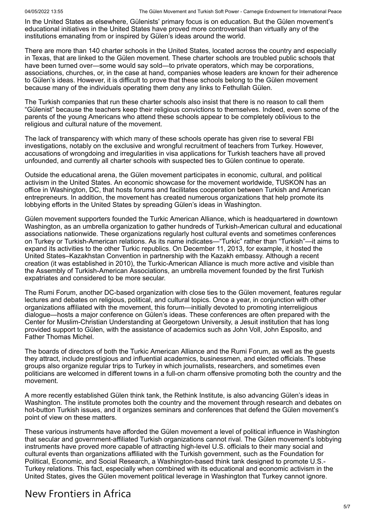In the United States as elsewhere, Gülenists' primary focus is on education. But the Gülen movement's educational initiatives in the United States have proved more controversial than virtually any of the institutions emanating from or inspired by Gülen's ideas around the world.

There are more than 140 charter schools in the United States, located across the country and especially in Texas, that are linked to the Gülen movement. These charter schools are troubled public schools that have been turned over—some would say sold—to private operators, which may be corporations, associations, churches, or, in the case at hand, companies whose leaders are known for their adherence to Gülen's ideas. However, it is difficult to prove that these schools belong to the Gülen movement because many of the individuals operating them [deny any links to Fethullah Gülen.](http://www.washingtonpost.com/blogs/answer-sheet/wp/2013/12/26/islamic-cleric-linked-to-u-s-charter-schools-involved-in-turkeys-political-drama/)

The Turkish companies that run these charter schools also insist that there is no reason to call them "Gülenist" because the teachers keep their religious convictions to themselves. Indeed, even some of the parents of the young Americans who attend these schools appear to be completely oblivious to the [religious and cultural nature](http://www.newrepublic.com/article/world/magazine/79062/global-turkey-imam-fethullah-gulen) of the movement.

The lack of transparency with which many of these schools operate has given rise to several FBI [investigations, notably on the exclusive and wrongful recruitment of teachers from Turkey. Howev](http://www.youtube.com/watch?v=dh4EwqRYTpE)er, accusations of wrongdoing and irregularities in visa applications for Turkish teachers have all proved unfounded, and currently all charter schools with suspected ties to Gülen continue to operate.

Outside the educational arena, the Gülen movement participates in economic, cultural, and political activism in the United States. An economic showcase for the movement worldwide, [TUSKON](http://www.tuskonus.org/tuskon.php) has an office in Washington, DC, that hosts forums and facilitates cooperation between Turkish and American entrepreneurs. In addition, the movement has created numerous organizations that help promote its lobbying efforts in the United States by spreading Gülen's ideas in Washington.

Gülen movement supporters founded the [Turkic American Alliance,](http://turkicamericanalliance.org/) which is headquartered in downtown Washington, as an umbrella organization to gather hundreds of Turkish-American cultural and educational associations nationwide. These organizations regularly host cultural events and sometimes conferences on Turkey or Turkish-American relations. As its name indicates—"Turkic" rather than "Turkish"—it aims to expand its activities to the other Turkic republics. On December 11, 2013, for example, it hosted the [United States–Kazakhstan Convention](http://uskzconvention.org/) in partnership with the Kazakh embassy. Although a recent creation (it was established in 2010), the Turkic-American Alliance is much more active and visible than the [Assembly of Turkish-American Associations](http://www.ataa.org/), an umbrella movement founded by the first Turkish expatriates and considered to be more secular.

The [Rumi Forum,](http://www.rumiforum.org/) another DC-based organization with close ties to the Gülen movement, features regular lectures and debates on religious, political, and cultural topics. Once a year, in conjunction with other organizations affiliated with the movement, this forum—initially devoted to promoting interreligious dialogue—hosts a major conference on Gülen's ideas. These conferences are often prepared with the [Center for Muslim-Christian Understanding](http://cmcu.georgetown.edu/) at Georgetown University, a Jesuit institution that has long provided support to Gülen, with the assistance of academics such as [John Voll](http://explore.georgetown.edu/people/vollj/), [John Esposito,](http://explore.georgetown.edu/people/jle2/) and [Father Thomas Michel.](http://www.thomasmichel.us/)

The boards of directors of both the Turkic American Alliance and the Rumi Forum, as well as the guests they attract, include prestigious and influential academics, businessmen, and [elected officials.](http://gulen101.org/hillary-clinton-turkish-americans-dinner) These groups also organize regular trips to Turkey in which journalists, researchers, and sometimes even politicians are welcomed in different towns in a full-on charm offensive promoting both the country and the movement.

A more recently established Gülen think tank, the [Rethink Institute,](http://www.rethinkinstitute.org/) is also advancing Gülen's ideas in Washington. The institute promotes both the country and the movement through research and debates on hot-button Turkish issues, and it organizes seminars and conferences that defend the Gülen movement's point of view on these matters.

These various instruments have afforded the Gülen movement a level of political influence in Washington that secular and government-affiliated Turkish organizations cannot rival. The Gülen movement's lobbying instruments have proved more capable of attracting high-level U.S. officials to their many social and [cultural events than organizations affiliated with the Turkish government, such as the Foundation for](http://setadc.org/) Political, Economic, and Social Research, a Washington-based think tank designed to promote U.S.- Turkey relations. This fact, especially when combined with its educational and economic activism in the United States, gives the Gülen movement political leverage in Washington that Turkey cannot ignore.

# New Frontiers in Africa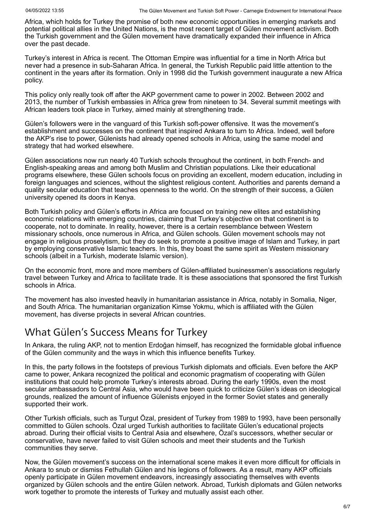Africa, which holds for Turkey the promise of both new economic opportunities in emerging markets and potential political allies in the United Nations, is the most recent target of Gülen movement activism. Both the Turkish government and the Gülen movement have dramatically expanded their influence in Africa over the past decade.

Turkey's [interest in Africa](http://turkishpolicy.com/dosyalar/files/MehmetOzkan-TurkeysRisingRoleinAfrica.pdf) is recent. The Ottoman Empire was influential for a time in North Africa but never had a presence in sub-Saharan Africa. In general, the [Turkish Republic](http://works.bepress.com/cgi/viewcontent.cgi?article=1298&context=mehmetozkan) paid little attention to the continent in the years after its formation. Only in 1998 did the Turkish government inaugurate a new Africa policy.

This policy only really took off after the AKP government came to power in 2002. Between 2002 and 2013, the number of Turkish embassies in Africa grew from nineteen to 34. Several summit meetings with African leaders took place in Turkey, aimed mainly at strengthening trade.

Gülen's followers were in the vanguard of this Turkish soft-power offensive. It was the movement's establishment and successes on the continent that inspired Ankara to turn to Africa. Indeed, well before the AKP's rise to power, Gülenists had already opened schools in Africa, using the same model and strategy that had worked elsewhere.

Gülen associations now run nearly 40 [Turkish schools](http://hal.archives-ouvertes.fr/docs/00/76/12/43/PDF/Mambo_2012_3_ANGEY_Gulen_Movement_in_Kenya.pdf) throughout the continent, in both French- and English-speaking areas and among both Muslim and Christian populations. Like their educational programs elsewhere, these Gülen schools focus on providing an excellent, modern education, including in foreign languages and sciences, without the slightest religious content. Authorities and parents demand a quality secular education that teaches openness to the world. On the strength of their success, a Gülen university opened its doors in Kenya.

Both Turkish policy and Gülen's efforts in Africa are focused on training new elites and establishing economic relations with emerging countries, claiming that Turkey's objective on that continent is to cooperate, not to dominate. In reality, however, there is a certain resemblance between Western missionary schools, once numerous in Africa, and Gülen schools. Gülen movement schools may not engage in religious proselytism, but they do seek to promote a positive image of Islam and Turkey, in part by employing conservative Islamic teachers. In this, they boast the same spirit as Western missionary schools (albeit in a Turkish, moderate Islamic version).

On the economic front, more and more members of Gülen-affiliated businessmen's associations regularly travel between Turkey and Africa to facilitate trade. It is these associations that sponsored the first Turkish schools in Africa.

The movement has also invested heavily in humanitarian assistance in Africa, notably in Somalia, Niger, and South Africa. The humanitarian organization [Kimse Yokmu](http://global.kimseyokmu.org.tr/?p=kampanyadetay&gl=kampanya&cl=bolgesel_kampanyalar&i=1610), which is affiliated with the Gülen movement, has diverse projects in several African countries.

# What Gülen's Success Means for Turkey

In Ankara, the ruling AKP, not to mention Erdoğan himself, has recognized the formidable global influence of the Gülen community and the ways in which this influence benefits Turkey.

In this, the party follows in the footsteps of previous Turkish diplomats and officials. Even before the AKP came to power, Ankara recognized the political and economic pragmatism of cooperating with Gülen institutions that could help promote Turkey's interests abroad. During the early 1990s, even the most secular ambassadors to Central Asia, who would have been quick to criticize Gülen's ideas on ideological grounds, realized the amount of influence Gülenists enjoyed in the former Soviet states and generally supported their work.

Other Turkish officials, such as Turgut Özal, president of Turkey from 1989 to 1993, have been personally committed to Gülen schools. Özal urged Turkish authorities to facilitate Gülen's educational projects abroad. During their official visits to Central Asia and elsewhere, Özal's successors, whether secular or conservative, have never failed to visit Gülen schools and meet their students and the Turkish communities they serve.

Now, the Gülen movement's success on the international scene makes it even more difficult for officials in Ankara to snub or dismiss Fethullah Gülen and his legions of followers. As a result, many AKP officials openly participate in Gülen movement endeavors, increasingly associating themselves with events organized by Gülen schools and the entire Gülen network. Abroad, Turkish diplomats and Gülen networks work together to promote the interests of Turkey and mutually assist each other.